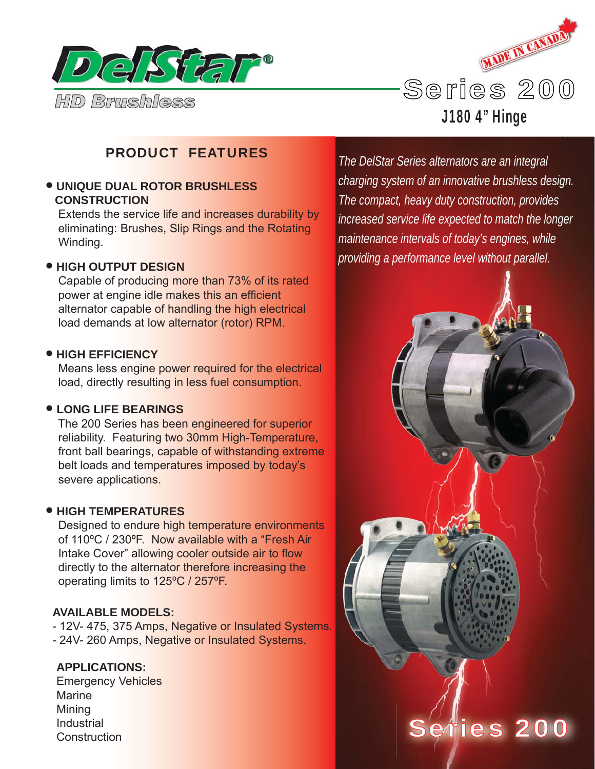



J180 4" Hinge

# PRODUCT FEATURES

## • **UNIQUE DUAL ROTOR BRUSHLESS CONSTRUCTION**

 Extends the service life and increases durability by eliminating: Brushes, Slip Rings and the Rotating Winding.

### • **HIGH OUTPUT DESIGN**

 Capable of producing more than 73% of its rated power at engine idle makes this an efficient alternator capable of handling the high electrical load demands at low alternator (rotor) RPM.

#### • **HIGH EFFICIENCY**

 Means less engine power required for the electrical load, directly resulting in less fuel consumption.

#### • **LONG LIFE BEARINGS**

 The 200 Series has been engineered for superior reliability. Featuring two 30mm High-Temperature, front ball bearings, capable of withstanding extreme belt loads and temperatures imposed by today's severe applications.

#### • **HIGH TEMPERATURES**

 Designed to endure high temperature environments of 110ºC / 230ºF. Now available with a "Fresh Air Intake Cover" allowing cooler outside air to flow directly to the alternator therefore increasing the operating limits to 125ºC / 257ºF.

#### **AVAILABLE MODELS:**

- 12V- 475, 375 Amps, Negative or Insulated Systems. - 24V- 260 Amps, Negative or Insulated Systems.

### **APPLICATIONS:**

Emergency Vehicles Marine Mining Industrial **Construction** 

*The DelStar Series alternators are an integral charging system of an innovative brushless design. The compact, heavy duty construction, provides increased service life expected to match the longer maintenance intervals of today's engines, while providing a performance level without parallel.*

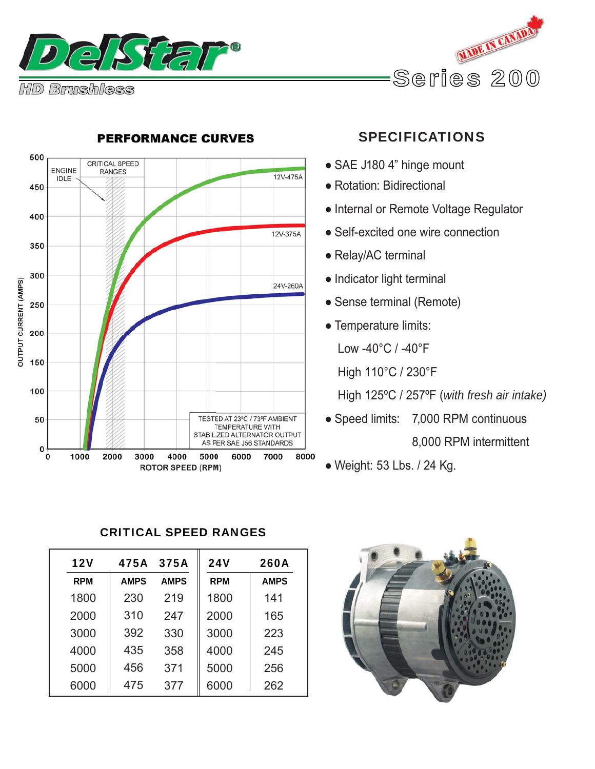





## **PERFORMANCE CURVES**

# SPECIFICATIONS

- SAE J180 4" hinge mount
- Rotation: Bidirectional
- Internal or Remote Voltage Regulator
- Self-excited one wire connection
- Relay/AC terminal
- Indicator light terminal
- Sense terminal (Remote)
- Temperature limits:
	- Low -40°C / -40°F
	- High 110°C / 230°F

High 125ºC / 257ºF (*with fresh air intake)*

- Speed limits: 7,000 RPM continuous 8,000 RPM intermittent
- Weight: 53 Lbs. / 24 Kg.

# CRITICAL SPEED RANGES

| 12V        | 475A        | 375A        | <b>24V</b> | <b>260A</b> |
|------------|-------------|-------------|------------|-------------|
| <b>RPM</b> | <b>AMPS</b> | <b>AMPS</b> | <b>RPM</b> | <b>AMPS</b> |
| 1800       | 230         | 219         | 1800       | 141         |
| 2000       | 310         | 247         | 2000       | 165         |
| 3000       | 392         | 330         | 3000       | 223         |
| 4000       | 435         | 358         | 4000       | 245         |
| 5000       | 456         | 371         | 5000       | 256         |
| 6000       | 475         | 377         | 6000       | 262         |

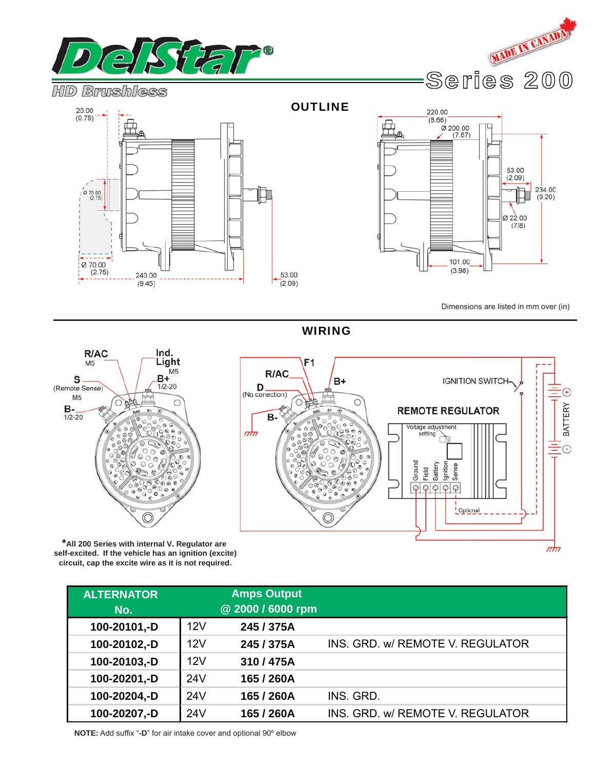







53.00  $(2.09)$  $234.00$ <br>(9.20) Ø 22.00  $(7/8)$ 101.00  $(3.98)$ 

Dimensions are listed in mm over (in)

 $\mathbf{f}$ 

BATTERY

 $\frac{1}{2}$ 

**IGNITION SWITCH-**

Opticnal

**REMOTE REGULATOR** 

Voltage adjustment<br>setting

Battery lgnition Sense

Field  $QQQQQ$ 

Ground

WIRING

 $\overline{\mathbb{O}}$ 

 $B+$ 

C

 $F<sub>1</sub>$ 

R/AC

**B-**

 $D_{(No\,\,conection)}$ 

nhi



**\*All 200 Series with internal V. Regulator are self-excited. If the vehicle has an ignition (excite) circuit, cap the excite wire as it is not required.**

| <b>ALTERNATOR</b><br>No. |     | <b>Amps Output</b><br>@ 2000 / 6000 rpm |                                  |
|--------------------------|-----|-----------------------------------------|----------------------------------|
| 100-20101,-D             | 12V | 245 / 375A                              |                                  |
| 100-20102,-D             | 12V | 245 / 375A                              | INS. GRD. w/ REMOTE V. REGULATOR |
| 100-20103,-D             | 12V | 310/475A                                |                                  |
| 100-20201,-D             | 24V | 165 / 260A                              |                                  |
| 100-20204,-D             | 24V | 165 / 260A                              | INS. GRD.                        |
| 100-20207,-D             | 24V | 165 / 260A                              | INS. GRD. w/ REMOTE V. REGULATOR |

**NOTE:** Add suffix "**-D**" for air intake cover and optional 90º elbow